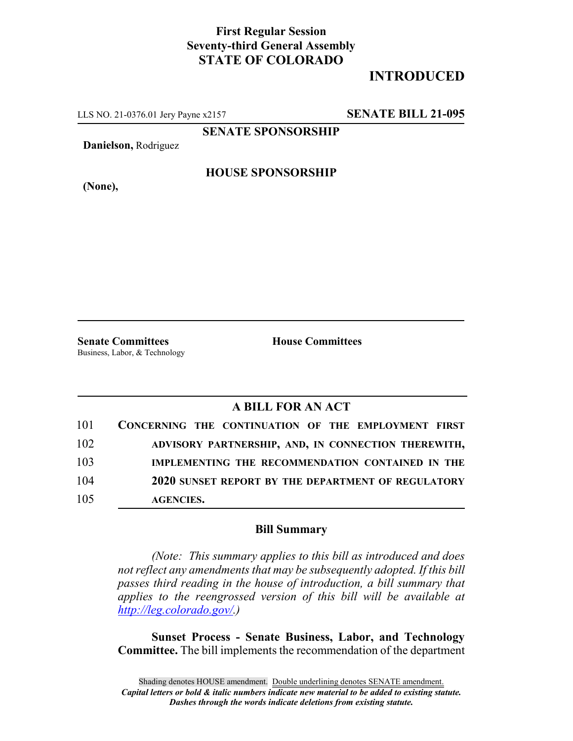## **First Regular Session Seventy-third General Assembly STATE OF COLORADO**

## **INTRODUCED**

LLS NO. 21-0376.01 Jery Payne x2157 **SENATE BILL 21-095**

**SENATE SPONSORSHIP**

**Danielson,** Rodriguez

**HOUSE SPONSORSHIP**

**(None),**

**Senate Committees House Committees** Business, Labor, & Technology

## **A BILL FOR AN ACT**

| 101 | CONCERNING THE CONTINUATION OF THE EMPLOYMENT FIRST |
|-----|-----------------------------------------------------|
| 102 | ADVISORY PARTNERSHIP, AND, IN CONNECTION THEREWITH, |
| 103 | IMPLEMENTING THE RECOMMENDATION CONTAINED IN THE    |
| 104 | 2020 SUNSET REPORT BY THE DEPARTMENT OF REGULATORY  |
| 105 | <b>AGENCIES.</b>                                    |

## **Bill Summary**

*(Note: This summary applies to this bill as introduced and does not reflect any amendments that may be subsequently adopted. If this bill passes third reading in the house of introduction, a bill summary that applies to the reengrossed version of this bill will be available at http://leg.colorado.gov/.)*

**Sunset Process - Senate Business, Labor, and Technology Committee.** The bill implements the recommendation of the department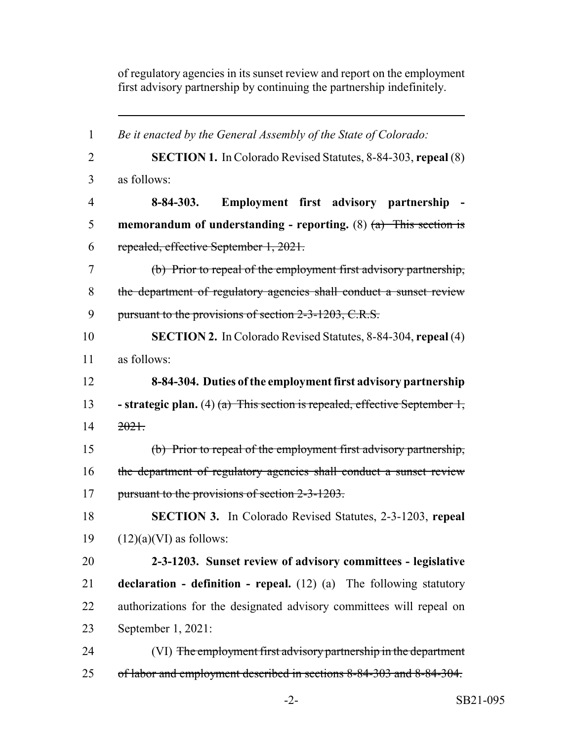of regulatory agencies in its sunset review and report on the employment first advisory partnership by continuing the partnership indefinitely.

| $\mathbf{1}$   | Be it enacted by the General Assembly of the State of Colorado:                |
|----------------|--------------------------------------------------------------------------------|
| $\overline{2}$ | <b>SECTION 1.</b> In Colorado Revised Statutes, 8-84-303, repeal (8)           |
| 3              | as follows:                                                                    |
| $\overline{4}$ | Employment first advisory partnership<br>$8 - 84 - 303.$                       |
| 5              | memorandum of understanding - reporting. (8) $(a)$ This section is             |
| 6              | repealed, effective September 1, 2021.                                         |
| 7              | (b) Prior to repeal of the employment first advisory partnership,              |
| 8              | the department of regulatory agencies shall conduct a sunset review            |
| 9              | pursuant to the provisions of section 2-3-1203, C.R.S.                         |
| 10             | <b>SECTION 2.</b> In Colorado Revised Statutes, 8-84-304, repeal (4)           |
| 11             | as follows:                                                                    |
| 12             | 8-84-304. Duties of the employment first advisory partnership                  |
| 13             | - strategic plan. (4) $(a)$ This section is repealed, effective September 1,   |
| 14             | 2021.                                                                          |
| 15             | (b) Prior to repeal of the employment first advisory partnership,              |
| 16             | the department of regulatory agencies shall conduct a sunset review            |
| 17             | pursuant to the provisions of section 2-3-1203.                                |
| 18             | <b>SECTION 3.</b> In Colorado Revised Statutes, 2-3-1203, repeal               |
| 19             | $(12)(a)(VI)$ as follows:                                                      |
| 20             | 2-3-1203. Sunset review of advisory committees - legislative                   |
| 21             | <b>declaration - definition - repeal.</b> $(12)$ $(a)$ The following statutory |
| 22             | authorizations for the designated advisory committees will repeal on           |
| 23             | September 1, 2021:                                                             |
| 24             | (VI) The employment first advisory partnership in the department               |
| 25             | of labor and employment described in sections 8-84-303 and 8-84-304.           |